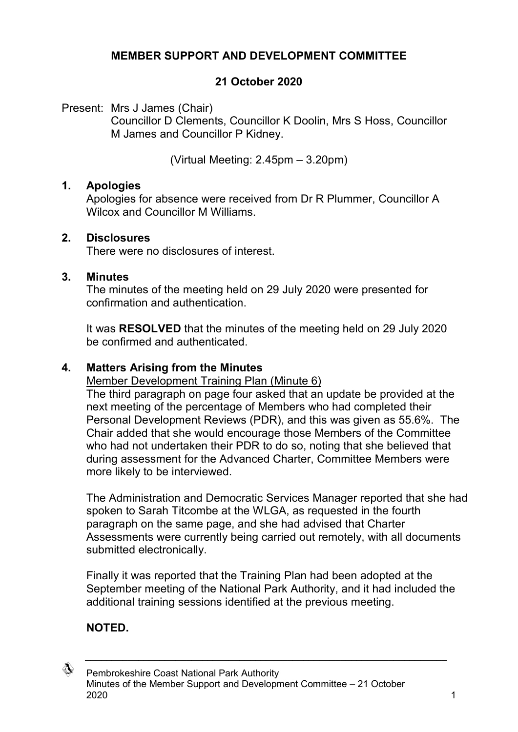## **MEMBER SUPPORT AND DEVELOPMENT COMMITTEE**

## **21 October 2020**

Present: Mrs J James (Chair)

Councillor D Clements, Councillor K Doolin, Mrs S Hoss, Councillor M James and Councillor P Kidney.

(Virtual Meeting: 2.45pm – 3.20pm)

#### **1. Apologies**

Apologies for absence were received from Dr R Plummer, Councillor A Wilcox and Councillor M Williams.

## **2. Disclosures**

There were no disclosures of interest.

#### **3. Minutes**

The minutes of the meeting held on 29 July 2020 were presented for confirmation and authentication.

It was **RESOLVED** that the minutes of the meeting held on 29 July 2020 be confirmed and authenticated.

## **4. Matters Arising from the Minutes**

Member Development Training Plan (Minute 6)

The third paragraph on page four asked that an update be provided at the next meeting of the percentage of Members who had completed their Personal Development Reviews (PDR), and this was given as 55.6%. The Chair added that she would encourage those Members of the Committee who had not undertaken their PDR to do so, noting that she believed that during assessment for the Advanced Charter, Committee Members were more likely to be interviewed.

The Administration and Democratic Services Manager reported that she had spoken to Sarah Titcombe at the WLGA, as requested in the fourth paragraph on the same page, and she had advised that Charter Assessments were currently being carried out remotely, with all documents submitted electronically.

Finally it was reported that the Training Plan had been adopted at the September meeting of the National Park Authority, and it had included the additional training sessions identified at the previous meeting.

 $\_$  , and the set of the set of the set of the set of the set of the set of the set of the set of the set of the set of the set of the set of the set of the set of the set of the set of the set of the set of the set of th

# **NOTED.**

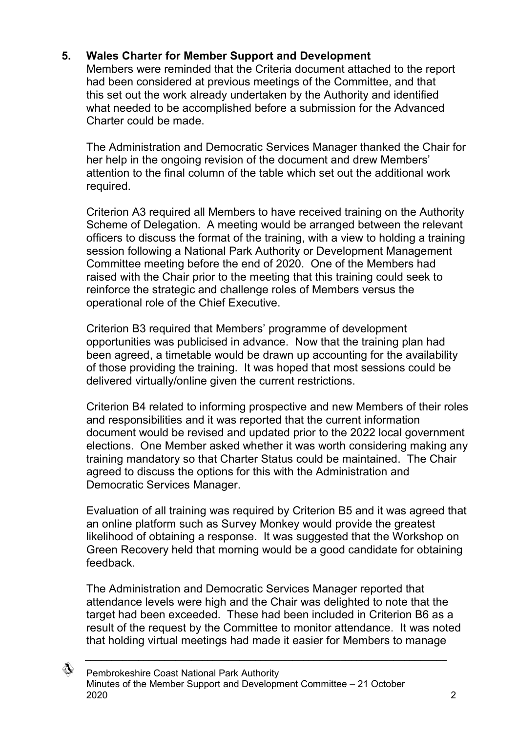# **5. Wales Charter for Member Support and Development**

Members were reminded that the Criteria document attached to the report had been considered at previous meetings of the Committee, and that this set out the work already undertaken by the Authority and identified what needed to be accomplished before a submission for the Advanced Charter could be made.

The Administration and Democratic Services Manager thanked the Chair for her help in the ongoing revision of the document and drew Members' attention to the final column of the table which set out the additional work required.

Criterion A3 required all Members to have received training on the Authority Scheme of Delegation. A meeting would be arranged between the relevant officers to discuss the format of the training, with a view to holding a training session following a National Park Authority or Development Management Committee meeting before the end of 2020. One of the Members had raised with the Chair prior to the meeting that this training could seek to reinforce the strategic and challenge roles of Members versus the operational role of the Chief Executive.

Criterion B3 required that Members' programme of development opportunities was publicised in advance. Now that the training plan had been agreed, a timetable would be drawn up accounting for the availability of those providing the training. It was hoped that most sessions could be delivered virtually/online given the current restrictions.

Criterion B4 related to informing prospective and new Members of their roles and responsibilities and it was reported that the current information document would be revised and updated prior to the 2022 local government elections. One Member asked whether it was worth considering making any training mandatory so that Charter Status could be maintained. The Chair agreed to discuss the options for this with the Administration and Democratic Services Manager.

Evaluation of all training was required by Criterion B5 and it was agreed that an online platform such as Survey Monkey would provide the greatest likelihood of obtaining a response. It was suggested that the Workshop on Green Recovery held that morning would be a good candidate for obtaining feedback.

The Administration and Democratic Services Manager reported that attendance levels were high and the Chair was delighted to note that the target had been exceeded. These had been included in Criterion B6 as a result of the request by the Committee to monitor attendance. It was noted that holding virtual meetings had made it easier for Members to manage

 $\_$  , and the set of the set of the set of the set of the set of the set of the set of the set of the set of the set of the set of the set of the set of the set of the set of the set of the set of the set of the set of th